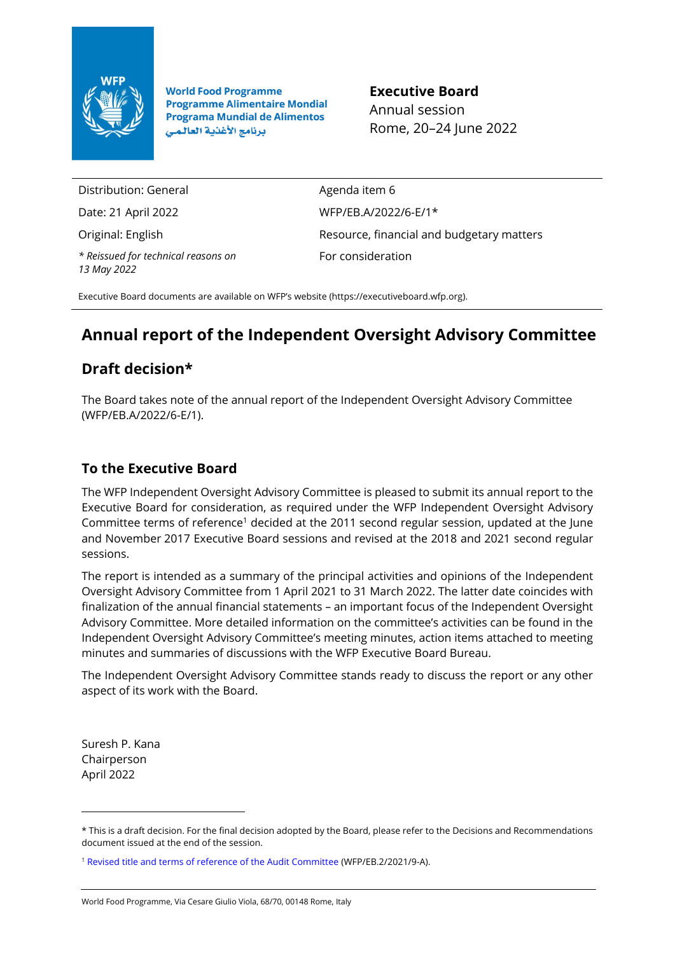

**World Food Programme Programme Alimentaire Mondial Programa Mundial de Alimentos** برنامج الأغذية العالمي

**Executive Board** Annual session Rome, 20–24 June 2022

Distribution: General

Date: 21 April 2022

Original: English

*\* Reissued for technical reasons on 13 May 2022*

Agenda item 6 WFP/EB.A/2022/6-E/1\* Resource, financial and budgetary matters For consideration

Executive Board documents are available on WFP's website [\(https://executiveboard.wfp.org\).](https://executiveboard.wfp.org/)

# **Annual report of the Independent Oversight Advisory Committee**

## **Draft decision\***

The Board takes note of the annual report of the Independent Oversight Advisory Committee (WFP/EB.A/2022/6-E/1).

## **To the Executive Board**

The WFP Independent Oversight Advisory Committee is pleased to submit its annual report to the Executive Board for consideration, as required under the WFP Independent Oversight Advisory Committee terms of reference<sup>1</sup> decided at the 2011 second regular session, updated at the June and November 2017 Executive Board sessions and revised at the 2018 and 2021 second regular sessions.

The report is intended as a summary of the principal activities and opinions of the Independent Oversight Advisory Committee from 1 April 2021 to 31 March 2022. The latter date coincides with finalization of the annual financial statements – an important focus of the Independent Oversight Advisory Committee. More detailed information on the committee's activities can be found in the Independent Oversight Advisory Committee's meeting minutes, action items attached to meeting minutes and summaries of discussions with the WFP Executive Board Bureau.

The Independent Oversight Advisory Committee stands ready to discuss the report or any other aspect of its work with the Board.

Suresh P. Kana Chairperson April 2022

<sup>\*</sup> This is a draft decision. For the final decision adopted by the Board, please refer to the Decisions and Recommendations document issued at the end of the session.

<sup>1</sup> [Revised title and terms of reference of the Audit Committee](https://executiveboard.wfp.org/document_download/WFP-0000132234) (WFP/EB.2/2021/9-A).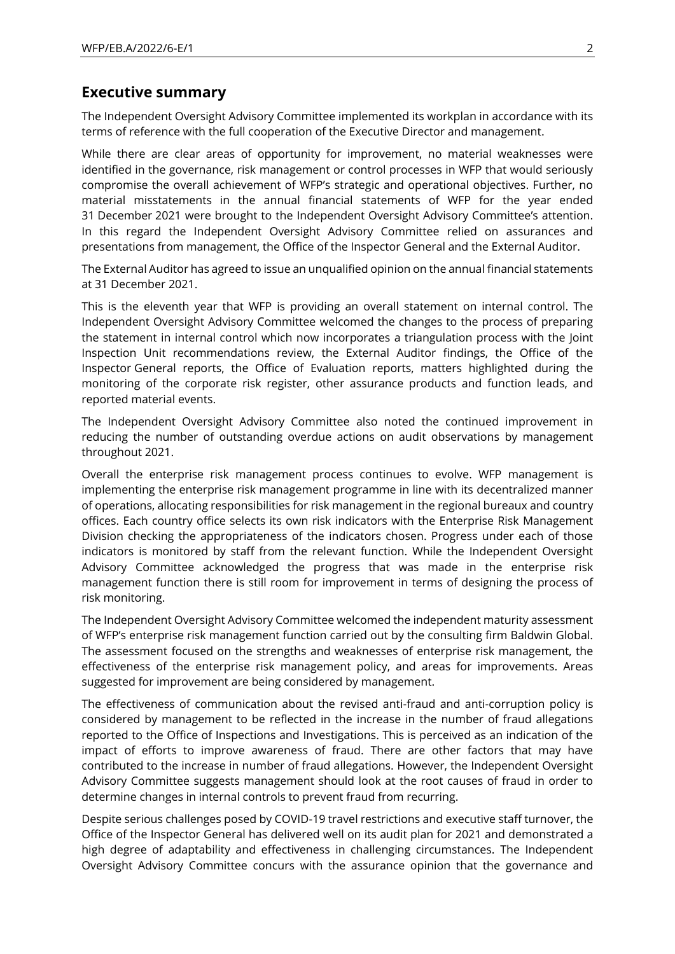#### **Executive summary**

The Independent Oversight Advisory Committee implemented its workplan in accordance with its terms of reference with the full cooperation of the Executive Director and management.

While there are clear areas of opportunity for improvement, no material weaknesses were identified in the governance, risk management or control processes in WFP that would seriously compromise the overall achievement of WFP's strategic and operational objectives. Further, no material misstatements in the annual financial statements of WFP for the year ended 31 December 2021 were brought to the Independent Oversight Advisory Committee's attention. In this regard the Independent Oversight Advisory Committee relied on assurances and presentations from management, the Office of the Inspector General and the External Auditor.

The External Auditor has agreed to issue an unqualified opinion on the annual financial statements at 31 December 2021.

This is the eleventh year that WFP is providing an overall statement on internal control. The Independent Oversight Advisory Committee welcomed the changes to the process of preparing the statement in internal control which now incorporates a triangulation process with the Joint Inspection Unit recommendations review, the External Auditor findings, the Office of the Inspector General reports, the Office of Evaluation reports, matters highlighted during the monitoring of the corporate risk register, other assurance products and function leads, and reported material events.

The Independent Oversight Advisory Committee also noted the continued improvement in reducing the number of outstanding overdue actions on audit observations by management throughout 2021.

Overall the enterprise risk management process continues to evolve. WFP management is implementing the enterprise risk management programme in line with its decentralized manner of operations, allocating responsibilities for risk management in the regional bureaux and country offices. Each country office selects its own risk indicators with the Enterprise Risk Management Division checking the appropriateness of the indicators chosen. Progress under each of those indicators is monitored by staff from the relevant function. While the Independent Oversight Advisory Committee acknowledged the progress that was made in the enterprise risk management function there is still room for improvement in terms of designing the process of risk monitoring.

The Independent Oversight Advisory Committee welcomed the independent maturity assessment of WFP's enterprise risk management function carried out by the consulting firm Baldwin Global. The assessment focused on the strengths and weaknesses of enterprise risk management, the effectiveness of the enterprise risk management policy, and areas for improvements. Areas suggested for improvement are being considered by management.

The effectiveness of communication about the revised anti-fraud and anti-corruption policy is considered by management to be reflected in the increase in the number of fraud allegations reported to the Office of Inspections and Investigations. This is perceived as an indication of the impact of efforts to improve awareness of fraud. There are other factors that may have contributed to the increase in number of fraud allegations. However, the Independent Oversight Advisory Committee suggests management should look at the root causes of fraud in order to determine changes in internal controls to prevent fraud from recurring.

Despite serious challenges posed by COVID-19 travel restrictions and executive staff turnover, the Office of the Inspector General has delivered well on its audit plan for 2021 and demonstrated a high degree of adaptability and effectiveness in challenging circumstances. The Independent Oversight Advisory Committee concurs with the assurance opinion that the governance and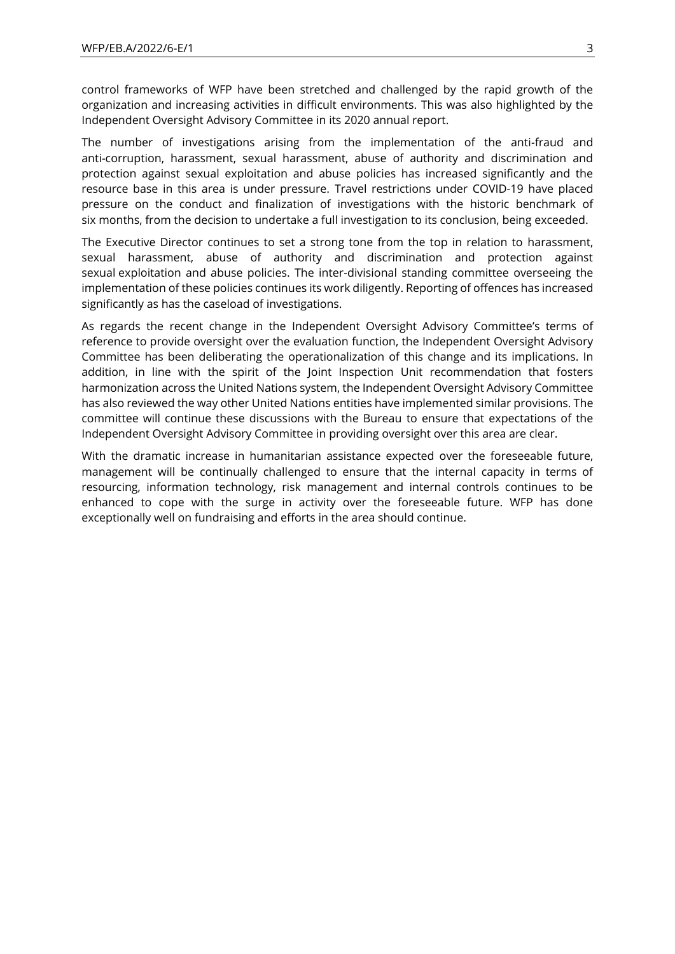control frameworks of WFP have been stretched and challenged by the rapid growth of the organization and increasing activities in difficult environments. This was also highlighted by the Independent Oversight Advisory Committee in its 2020 annual report.

The number of investigations arising from the implementation of the anti-fraud and anti-corruption, harassment, sexual harassment, abuse of authority and discrimination and protection against sexual exploitation and abuse policies has increased significantly and the resource base in this area is under pressure. Travel restrictions under COVID-19 have placed pressure on the conduct and finalization of investigations with the historic benchmark of six months, from the decision to undertake a full investigation to its conclusion, being exceeded.

The Executive Director continues to set a strong tone from the top in relation to harassment, sexual harassment, abuse of authority and discrimination and protection against sexual exploitation and abuse policies. The inter-divisional standing committee overseeing the implementation of these policies continues its work diligently. Reporting of offences has increased significantly as has the caseload of investigations.

As regards the recent change in the Independent Oversight Advisory Committee's terms of reference to provide oversight over the evaluation function, the Independent Oversight Advisory Committee has been deliberating the operationalization of this change and its implications. In addition, in line with the spirit of the Joint Inspection Unit recommendation that fosters harmonization across the United Nations system, the Independent Oversight Advisory Committee has also reviewed the way other United Nations entities have implemented similar provisions. The committee will continue these discussions with the Bureau to ensure that expectations of the Independent Oversight Advisory Committee in providing oversight over this area are clear.

With the dramatic increase in humanitarian assistance expected over the foreseeable future, management will be continually challenged to ensure that the internal capacity in terms of resourcing, information technology, risk management and internal controls continues to be enhanced to cope with the surge in activity over the foreseeable future. WFP has done exceptionally well on fundraising and efforts in the area should continue.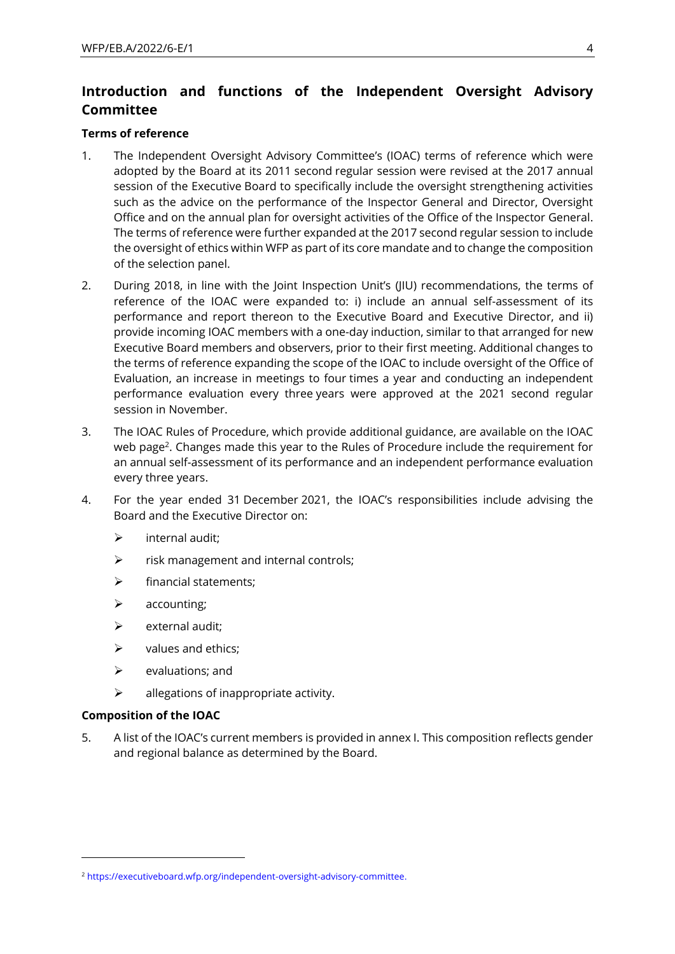### **Introduction and functions of the Independent Oversight Advisory Committee**

#### **Terms of reference**

- 1. The Independent Oversight Advisory Committee's (IOAC) terms of reference which were adopted by the Board at its 2011 second regular session were revised at the 2017 annual session of the Executive Board to specifically include the oversight strengthening activities such as the advice on the performance of the Inspector General and Director, Oversight Office and on the annual plan for oversight activities of the Office of the Inspector General. The terms of reference were further expanded at the 2017 second regular session to include the oversight of ethics within WFP as part of its core mandate and to change the composition of the selection panel.
- 2. During 2018, in line with the Joint Inspection Unit's (JIU) recommendations, the terms of reference of the IOAC were expanded to: i) include an annual self-assessment of its performance and report thereon to the Executive Board and Executive Director, and ii) provide incoming IOAC members with a one-day induction, similar to that arranged for new Executive Board members and observers, prior to their first meeting. Additional changes to the terms of reference expanding the scope of the IOAC to include oversight of the Office of Evaluation, an increase in meetings to four times a year and conducting an independent performance evaluation every three years were approved at the 2021 second regular session in November.
- 3. The IOAC Rules of Procedure, which provide additional guidance, are available on the IOAC web page<sup>2</sup>. Changes made this year to the Rules of Procedure include the requirement for an annual self-assessment of its performance and an independent performance evaluation every three years.
- 4. For the year ended 31 December 2021, the IOAC's responsibilities include advising the Board and the Executive Director on:
	- $\triangleright$  internal audit:
	- ➢ risk management and internal controls;
	- $\triangleright$  financial statements:
	- ➢ accounting;
	- $\triangleright$  external audit:
	- $\triangleright$  values and ethics;
	- $\triangleright$  evaluations; and
	- $\triangleright$  allegations of inappropriate activity.

#### **Composition of the IOAC**

5. A list of the IOAC's current members is provided in annex I. This composition reflects gender and regional balance as determined by the Board.

<sup>2</sup> [https://executiveboard.wfp.org/independent-oversight-advisory-committee.](https://executiveboard.wfp.org/independent-oversight-advisory-committee)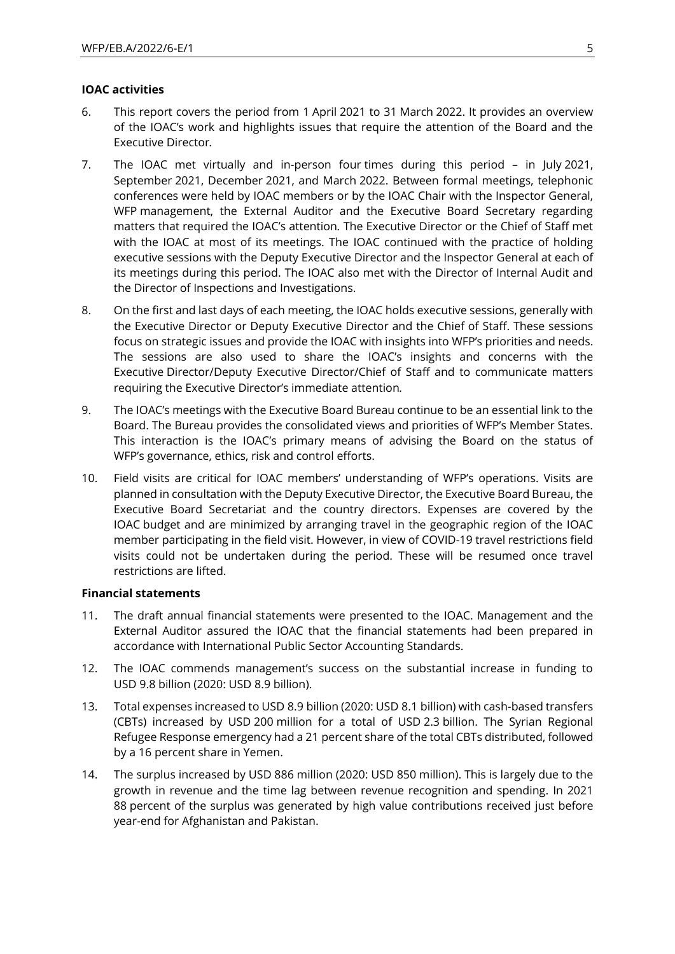#### **IOAC activities**

- 6. This report covers the period from 1 April 2021 to 31 March 2022. It provides an overview of the IOAC's work and highlights issues that require the attention of the Board and the Executive Director*.*
- 7. The IOAC met virtually and in-person four times during this period in July 2021, September 2021, December 2021, and March 2022. Between formal meetings, telephonic conferences were held by IOAC members or by the IOAC Chair with the Inspector General, WFP management, the External Auditor and the Executive Board Secretary regarding matters that required the IOAC's attention*.* The Executive Director or the Chief of Staff met with the IOAC at most of its meetings. The IOAC continued with the practice of holding executive sessions with the Deputy Executive Director and the Inspector General at each of its meetings during this period. The IOAC also met with the Director of Internal Audit and the Director of Inspections and Investigations.
- 8. On the first and last days of each meeting, the IOAC holds executive sessions, generally with the Executive Director or Deputy Executive Director and the Chief of Staff. These sessions focus on strategic issues and provide the IOAC with insights into WFP's priorities and needs. The sessions are also used to share the IOAC's insights and concerns with the Executive Director/Deputy Executive Director/Chief of Staff and to communicate matters requiring the Executive Director's immediate attention*.*
- 9. The IOAC's meetings with the Executive Board Bureau continue to be an essential link to the Board. The Bureau provides the consolidated views and priorities of WFP's Member States. This interaction is the IOAC's primary means of advising the Board on the status of WFP's governance, ethics, risk and control efforts.
- 10. Field visits are critical for IOAC members' understanding of WFP's operations. Visits are planned in consultation with the Deputy Executive Director, the Executive Board Bureau, the Executive Board Secretariat and the country directors. Expenses are covered by the IOAC budget and are minimized by arranging travel in the geographic region of the IOAC member participating in the field visit. However, in view of COVID-19 travel restrictions field visits could not be undertaken during the period. These will be resumed once travel restrictions are lifted.

#### **Financial statements**

- 11. The draft annual financial statements were presented to the IOAC. Management and the External Auditor assured the IOAC that the financial statements had been prepared in accordance with International Public Sector Accounting Standards.
- 12. The IOAC commends management's success on the substantial increase in funding to USD 9.8 billion (2020: USD 8.9 billion).
- 13. Total expenses increased to USD 8.9 billion (2020: USD 8.1 billion) with cash-based transfers (CBTs) increased by USD 200 million for a total of USD 2.3 billion. The Syrian Regional Refugee Response emergency had a 21 percent share of the total CBTs distributed, followed by a 16 percent share in Yemen.
- 14. The surplus increased by USD 886 million (2020: USD 850 million). This is largely due to the growth in revenue and the time lag between revenue recognition and spending. In 2021 88 percent of the surplus was generated by high value contributions received just before year-end for Afghanistan and Pakistan.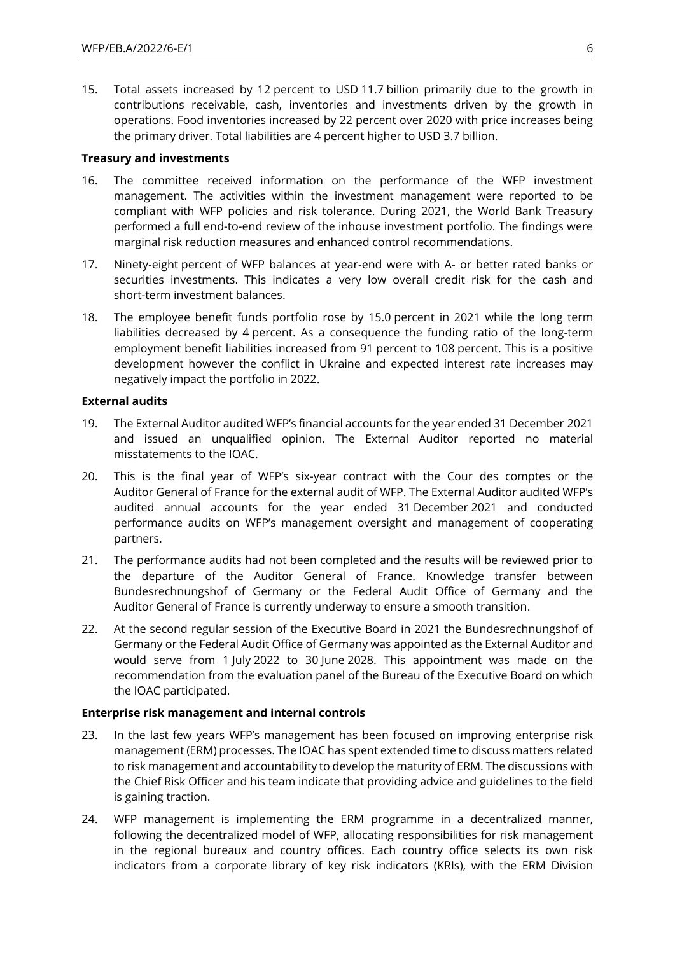15. Total assets increased by 12 percent to USD 11.7 billion primarily due to the growth in contributions receivable, cash, inventories and investments driven by the growth in operations. Food inventories increased by 22 percent over 2020 with price increases being the primary driver. Total liabilities are 4 percent higher to USD 3.7 billion.

#### **Treasury and investments**

- 16. The committee received information on the performance of the WFP investment management. The activities within the investment management were reported to be compliant with WFP policies and risk tolerance. During 2021, the World Bank Treasury performed a full end-to-end review of the inhouse investment portfolio. The findings were marginal risk reduction measures and enhanced control recommendations.
- 17. Ninety-eight percent of WFP balances at year-end were with A- or better rated banks or securities investments. This indicates a very low overall credit risk for the cash and short-term investment balances.
- 18. The employee benefit funds portfolio rose by 15.0 percent in 2021 while the long term liabilities decreased by 4 percent. As a consequence the funding ratio of the long-term employment benefit liabilities increased from 91 percent to 108 percent. This is a positive development however the conflict in Ukraine and expected interest rate increases may negatively impact the portfolio in 2022.

#### **External audits**

- 19. The External Auditor audited WFP's financial accounts for the year ended 31 December 2021 and issued an unqualified opinion. The External Auditor reported no material misstatements to the IOAC.
- 20. This is the final year of WFP's six-year contract with the Cour des comptes or the Auditor General of France for the external audit of WFP. The External Auditor audited WFP's audited annual accounts for the year ended 31 December 2021 and conducted performance audits on WFP's management oversight and management of cooperating partners.
- 21. The performance audits had not been completed and the results will be reviewed prior to the departure of the Auditor General of France. Knowledge transfer between Bundesrechnungshof of Germany or the Federal Audit Office of Germany and the Auditor General of France is currently underway to ensure a smooth transition.
- 22. At the second regular session of the Executive Board in 2021 the Bundesrechnungshof of Germany or the Federal Audit Office of Germany was appointed as the External Auditor and would serve from 1 July 2022 to 30 June 2028. This appointment was made on the recommendation from the evaluation panel of the Bureau of the Executive Board on which the IOAC participated.

#### **Enterprise risk management and internal controls**

- 23. In the last few years WFP's management has been focused on improving enterprise risk management (ERM) processes. The IOAC has spent extended time to discuss matters related to risk management and accountability to develop the maturity of ERM. The discussions with the Chief Risk Officer and his team indicate that providing advice and guidelines to the field is gaining traction.
- 24. WFP management is implementing the ERM programme in a decentralized manner, following the decentralized model of WFP, allocating responsibilities for risk management in the regional bureaux and country offices. Each country office selects its own risk indicators from a corporate library of key risk indicators (KRIs), with the ERM Division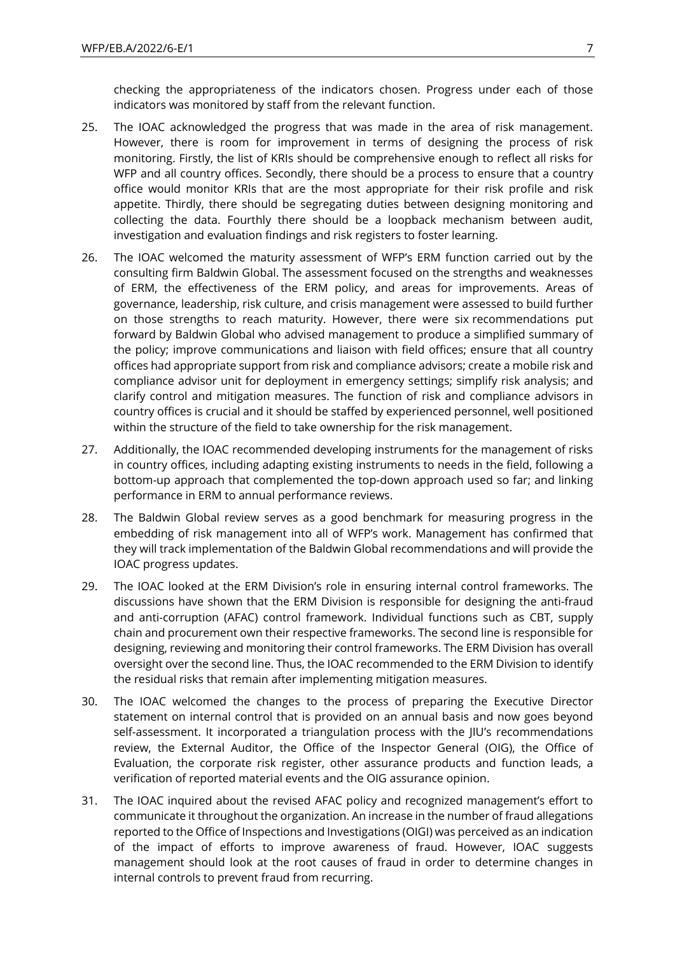checking the appropriateness of the indicators chosen. Progress under each of those indicators was monitored by staff from the relevant function.

- 25. The IOAC acknowledged the progress that was made in the area of risk management. However, there is room for improvement in terms of designing the process of risk monitoring. Firstly, the list of KRIs should be comprehensive enough to reflect all risks for WFP and all country offices. Secondly, there should be a process to ensure that a country office would monitor KRIs that are the most appropriate for their risk profile and risk appetite. Thirdly, there should be segregating duties between designing monitoring and collecting the data. Fourthly there should be a loopback mechanism between audit, investigation and evaluation findings and risk registers to foster learning.
- 26. The IOAC welcomed the maturity assessment of WFP's ERM function carried out by the consulting firm Baldwin Global. The assessment focused on the strengths and weaknesses of ERM, the effectiveness of the ERM policy, and areas for improvements. Areas of governance, leadership, risk culture, and crisis management were assessed to build further on those strengths to reach maturity. However, there were six recommendations put forward by Baldwin Global who advised management to produce a simplified summary of the policy; improve communications and liaison with field offices; ensure that all country offices had appropriate support from risk and compliance advisors; create a mobile risk and compliance advisor unit for deployment in emergency settings; simplify risk analysis; and clarify control and mitigation measures. The function of risk and compliance advisors in country offices is crucial and it should be staffed by experienced personnel, well positioned within the structure of the field to take ownership for the risk management.
- 27. Additionally, the IOAC recommended developing instruments for the management of risks in country offices, including adapting existing instruments to needs in the field, following a bottom-up approach that complemented the top-down approach used so far; and linking performance in ERM to annual performance reviews.
- 28. The Baldwin Global review serves as a good benchmark for measuring progress in the embedding of risk management into all of WFP's work. Management has confirmed that they will track implementation of the Baldwin Global recommendations and will provide the IOAC progress updates.
- 29. The IOAC looked at the ERM Division's role in ensuring internal control frameworks. The discussions have shown that the ERM Division is responsible for designing the anti-fraud and anti-corruption (AFAC) control framework. Individual functions such as CBT, supply chain and procurement own their respective frameworks. The second line is responsible for designing, reviewing and monitoring their control frameworks. The ERM Division has overall oversight over the second line. Thus, the IOAC recommended to the ERM Division to identify the residual risks that remain after implementing mitigation measures.
- 30. The IOAC welcomed the changes to the process of preparing the Executive Director statement on internal control that is provided on an annual basis and now goes beyond self-assessment. It incorporated a triangulation process with the JIU's recommendations review, the External Auditor, the Office of the Inspector General (OIG), the Office of Evaluation, the corporate risk register, other assurance products and function leads, a verification of reported material events and the OIG assurance opinion.
- 31. The IOAC inquired about the revised AFAC policy and recognized management's effort to communicate it throughout the organization. An increase in the number of fraud allegations reported to the Office of Inspections and Investigations (OIGI) was perceived as an indication of the impact of efforts to improve awareness of fraud. However, IOAC suggests management should look at the root causes of fraud in order to determine changes in internal controls to prevent fraud from recurring.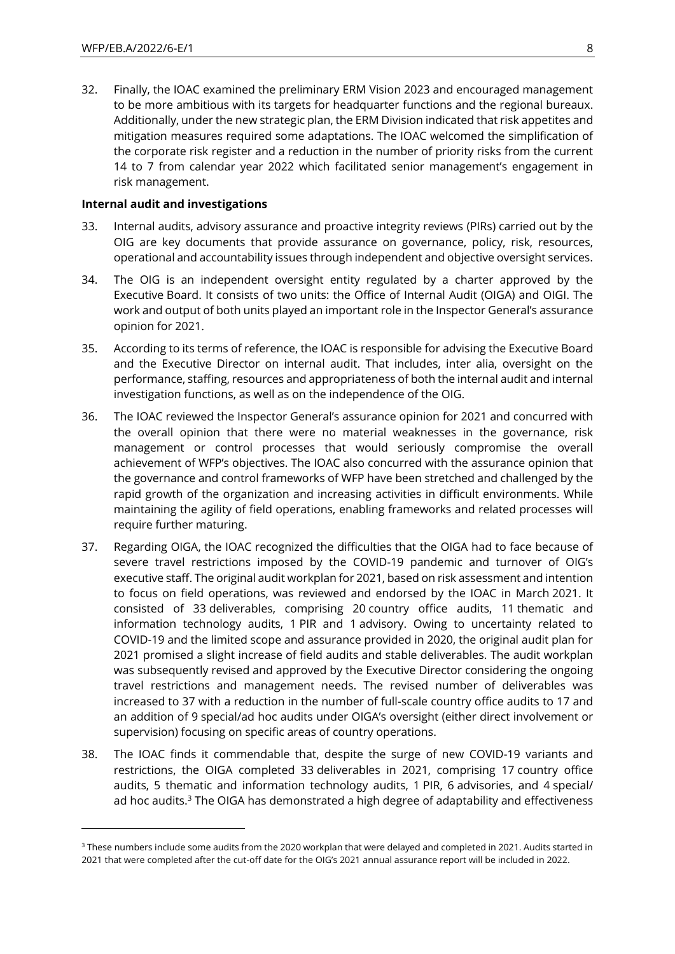32. Finally, the IOAC examined the preliminary ERM Vision 2023 and encouraged management to be more ambitious with its targets for headquarter functions and the regional bureaux. Additionally, under the new strategic plan, the ERM Division indicated that risk appetites and mitigation measures required some adaptations. The IOAC welcomed the simplification of the corporate risk register and a reduction in the number of priority risks from the current 14 to 7 from calendar year 2022 which facilitated senior management's engagement in risk management.

#### **Internal audit and investigations**

- 33. Internal audits, advisory assurance and proactive integrity reviews (PIRs) carried out by the OIG are key documents that provide assurance on governance, policy, risk, resources, operational and accountability issues through independent and objective oversight services.
- 34. The OIG is an independent oversight entity regulated by a charter approved by the Executive Board. It consists of two units: the Office of Internal Audit (OIGA) and OIGI. The work and output of both units played an important role in the Inspector General's assurance opinion for 2021.
- 35. According to its terms of reference, the IOAC is responsible for advising the Executive Board and the Executive Director on internal audit. That includes, inter alia, oversight on the performance, staffing, resources and appropriateness of both the internal audit and internal investigation functions, as well as on the independence of the OIG.
- 36. The IOAC reviewed the Inspector General's assurance opinion for 2021 and concurred with the overall opinion that there were no material weaknesses in the governance, risk management or control processes that would seriously compromise the overall achievement of WFP's objectives. The IOAC also concurred with the assurance opinion that the governance and control frameworks of WFP have been stretched and challenged by the rapid growth of the organization and increasing activities in difficult environments. While maintaining the agility of field operations, enabling frameworks and related processes will require further maturing.
- 37. Regarding OIGA, the IOAC recognized the difficulties that the OIGA had to face because of severe travel restrictions imposed by the COVID-19 pandemic and turnover of OIG's executive staff. The original audit workplan for 2021, based on risk assessment and intention to focus on field operations, was reviewed and endorsed by the IOAC in March 2021. It consisted of 33 deliverables, comprising 20 country office audits, 11 thematic and information technology audits, 1 PIR and 1 advisory. Owing to uncertainty related to COVID-19 and the limited scope and assurance provided in 2020, the original audit plan for 2021 promised a slight increase of field audits and stable deliverables. The audit workplan was subsequently revised and approved by the Executive Director considering the ongoing travel restrictions and management needs. The revised number of deliverables was increased to 37 with a reduction in the number of full-scale country office audits to 17 and an addition of 9 special/ad hoc audits under OIGA's oversight (either direct involvement or supervision) focusing on specific areas of country operations.
- 38. The IOAC finds it commendable that, despite the surge of new COVID-19 variants and restrictions, the OIGA completed 33 deliverables in 2021, comprising 17 country office audits, 5 thematic and information technology audits, 1 PIR, 6 advisories, and 4 special/ ad hoc audits.<sup>3</sup> The OIGA has demonstrated a high degree of adaptability and effectiveness

<sup>&</sup>lt;sup>3</sup> These numbers include some audits from the 2020 workplan that were delayed and completed in 2021. Audits started in 2021 that were completed after the cut-off date for the OIG's 2021 annual assurance report will be included in 2022.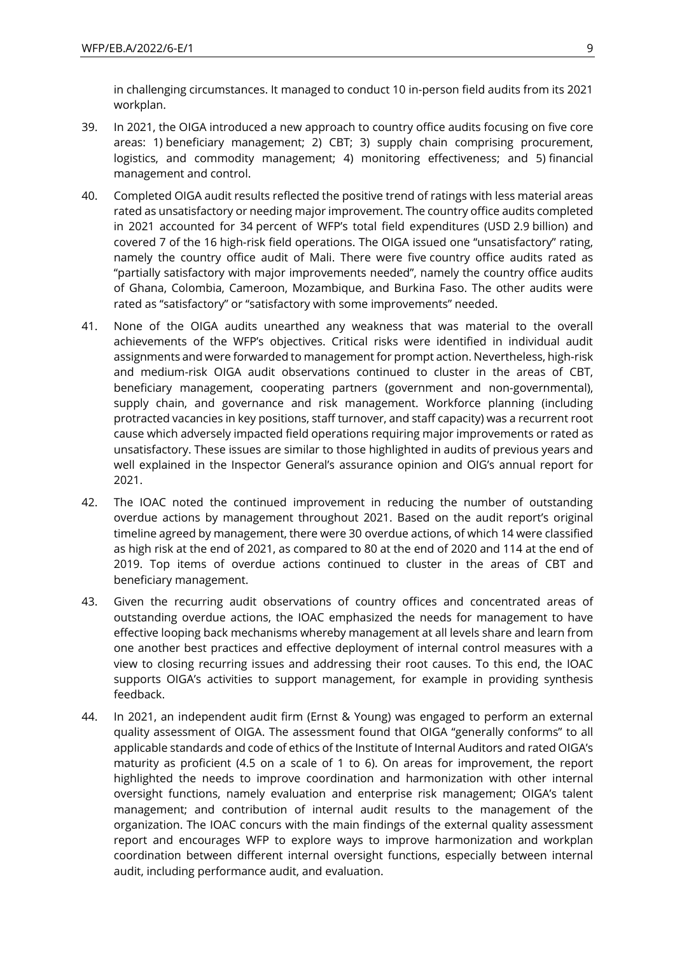in challenging circumstances. It managed to conduct 10 in-person field audits from its 2021 workplan.

- 39. In 2021, the OIGA introduced a new approach to country office audits focusing on five core areas: 1) beneficiary management; 2) CBT; 3) supply chain comprising procurement, logistics, and commodity management; 4) monitoring effectiveness; and 5) financial management and control.
- 40. Completed OIGA audit results reflected the positive trend of ratings with less material areas rated as unsatisfactory or needing major improvement. The country office audits completed in 2021 accounted for 34 percent of WFP's total field expenditures (USD 2.9 billion) and covered 7 of the 16 high-risk field operations. The OIGA issued one "unsatisfactory" rating, namely the country office audit of Mali. There were five country office audits rated as "partially satisfactory with major improvements needed", namely the country office audits of Ghana, Colombia, Cameroon, Mozambique, and Burkina Faso. The other audits were rated as "satisfactory" or "satisfactory with some improvements" needed.
- 41. None of the OIGA audits unearthed any weakness that was material to the overall achievements of the WFP's objectives. Critical risks were identified in individual audit assignments and were forwarded to management for prompt action. Nevertheless, high-risk and medium-risk OIGA audit observations continued to cluster in the areas of CBT, beneficiary management, cooperating partners (government and non-governmental), supply chain, and governance and risk management. Workforce planning (including protracted vacancies in key positions, staff turnover, and staff capacity) was a recurrent root cause which adversely impacted field operations requiring major improvements or rated as unsatisfactory. These issues are similar to those highlighted in audits of previous years and well explained in the Inspector General's assurance opinion and OIG's annual report for 2021.
- 42. The IOAC noted the continued improvement in reducing the number of outstanding overdue actions by management throughout 2021. Based on the audit report's original timeline agreed by management, there were 30 overdue actions, of which 14 were classified as high risk at the end of 2021, as compared to 80 at the end of 2020 and 114 at the end of 2019. Top items of overdue actions continued to cluster in the areas of CBT and beneficiary management.
- 43. Given the recurring audit observations of country offices and concentrated areas of outstanding overdue actions, the IOAC emphasized the needs for management to have effective looping back mechanisms whereby management at all levels share and learn from one another best practices and effective deployment of internal control measures with a view to closing recurring issues and addressing their root causes. To this end, the IOAC supports OIGA's activities to support management, for example in providing synthesis feedback.
- 44. In 2021, an independent audit firm (Ernst & Young) was engaged to perform an external quality assessment of OIGA. The assessment found that OIGA "generally conforms" to all applicable standards and code of ethics of the Institute of Internal Auditors and rated OIGA's maturity as proficient (4.5 on a scale of 1 to 6). On areas for improvement, the report highlighted the needs to improve coordination and harmonization with other internal oversight functions, namely evaluation and enterprise risk management; OIGA's talent management; and contribution of internal audit results to the management of the organization. The IOAC concurs with the main findings of the external quality assessment report and encourages WFP to explore ways to improve harmonization and workplan coordination between different internal oversight functions, especially between internal audit, including performance audit, and evaluation.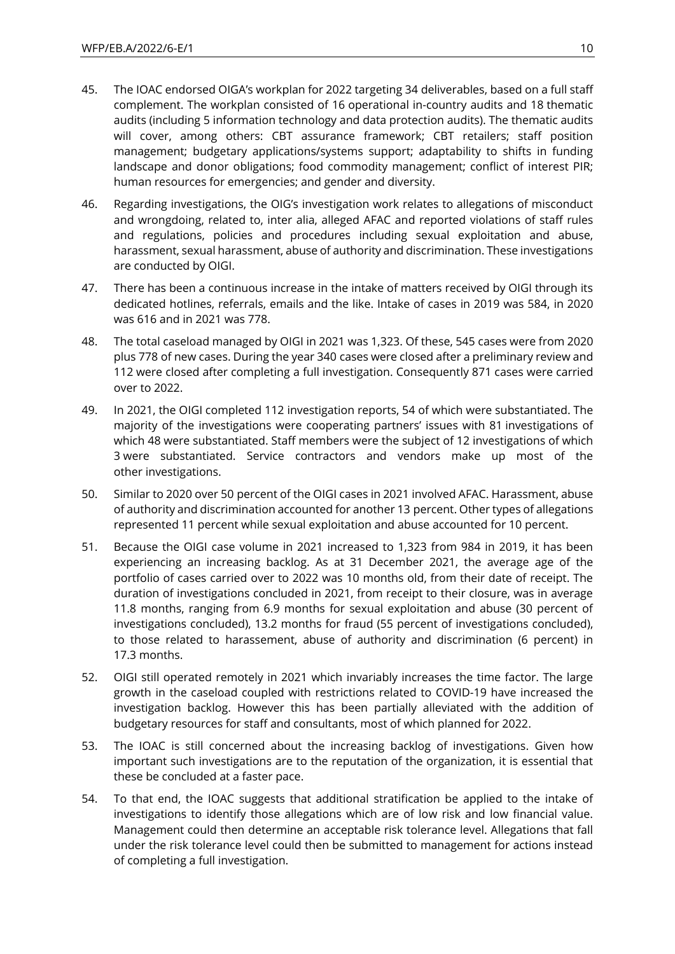- 45. The IOAC endorsed OIGA's workplan for 2022 targeting 34 deliverables, based on a full staff complement. The workplan consisted of 16 operational in-country audits and 18 thematic audits (including 5 information technology and data protection audits). The thematic audits will cover, among others: CBT assurance framework; CBT retailers; staff position management; budgetary applications/systems support; adaptability to shifts in funding landscape and donor obligations; food commodity management; conflict of interest PIR; human resources for emergencies; and gender and diversity.
- 46. Regarding investigations, the OIG's investigation work relates to allegations of misconduct and wrongdoing, related to, inter alia, alleged AFAC and reported violations of staff rules and regulations, policies and procedures including sexual exploitation and abuse, harassment, sexual harassment, abuse of authority and discrimination. These investigations are conducted by OIGI.
- 47. There has been a continuous increase in the intake of matters received by OIGI through its dedicated hotlines, referrals, emails and the like. Intake of cases in 2019 was 584, in 2020 was 616 and in 2021 was 778.
- 48. The total caseload managed by OIGI in 2021 was 1,323. Of these, 545 cases were from 2020 plus 778 of new cases. During the year 340 cases were closed after a preliminary review and 112 were closed after completing a full investigation. Consequently 871 cases were carried over to 2022.
- 49. In 2021, the OIGI completed 112 investigation reports, 54 of which were substantiated. The majority of the investigations were cooperating partners' issues with 81 investigations of which 48 were substantiated. Staff members were the subject of 12 investigations of which 3 were substantiated. Service contractors and vendors make up most of the other investigations.
- 50. Similar to 2020 over 50 percent of the OIGI cases in 2021 involved AFAC. Harassment, abuse of authority and discrimination accounted for another 13 percent. Other types of allegations represented 11 percent while sexual exploitation and abuse accounted for 10 percent.
- 51. Because the OIGI case volume in 2021 increased to 1,323 from 984 in 2019, it has been experiencing an increasing backlog. As at 31 December 2021, the average age of the portfolio of cases carried over to 2022 was 10 months old, from their date of receipt. The duration of investigations concluded in 2021, from receipt to their closure, was in average 11.8 months, ranging from 6.9 months for sexual exploitation and abuse (30 percent of investigations concluded), 13.2 months for fraud (55 percent of investigations concluded), to those related to harassement, abuse of authority and discrimination (6 percent) in 17.3 months.
- 52. OIGI still operated remotely in 2021 which invariably increases the time factor. The large growth in the caseload coupled with restrictions related to COVID-19 have increased the investigation backlog. However this has been partially alleviated with the addition of budgetary resources for staff and consultants, most of which planned for 2022.
- 53. The IOAC is still concerned about the increasing backlog of investigations. Given how important such investigations are to the reputation of the organization, it is essential that these be concluded at a faster pace.
- 54. To that end, the IOAC suggests that additional stratification be applied to the intake of investigations to identify those allegations which are of low risk and low financial value. Management could then determine an acceptable risk tolerance level. Allegations that fall under the risk tolerance level could then be submitted to management for actions instead of completing a full investigation.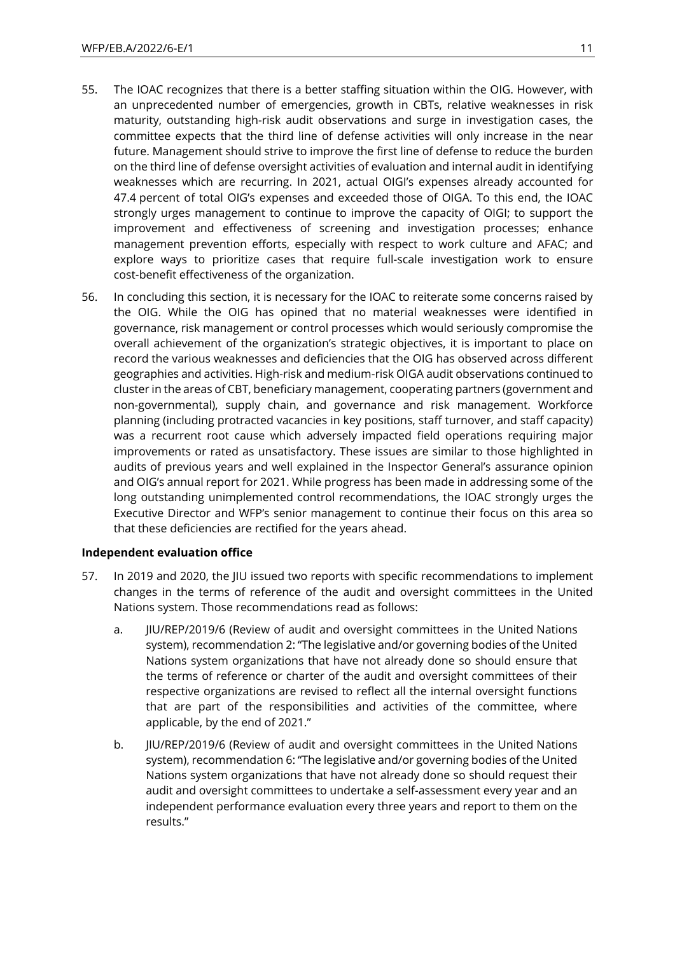- 55. The IOAC recognizes that there is a better staffing situation within the OIG. However, with an unprecedented number of emergencies, growth in CBTs, relative weaknesses in risk maturity, outstanding high-risk audit observations and surge in investigation cases, the committee expects that the third line of defense activities will only increase in the near future. Management should strive to improve the first line of defense to reduce the burden on the third line of defense oversight activities of evaluation and internal audit in identifying weaknesses which are recurring. In 2021, actual OIGI's expenses already accounted for 47.4 percent of total OIG's expenses and exceeded those of OIGA. To this end, the IOAC strongly urges management to continue to improve the capacity of OIGI; to support the improvement and effectiveness of screening and investigation processes; enhance management prevention efforts, especially with respect to work culture and AFAC; and explore ways to prioritize cases that require full-scale investigation work to ensure cost-benefit effectiveness of the organization.
- 56. In concluding this section, it is necessary for the IOAC to reiterate some concerns raised by the OIG. While the OIG has opined that no material weaknesses were identified in governance, risk management or control processes which would seriously compromise the overall achievement of the organization's strategic objectives, it is important to place on record the various weaknesses and deficiencies that the OIG has observed across different geographies and activities. High-risk and medium-risk OIGA audit observations continued to cluster in the areas of CBT, beneficiary management, cooperating partners (government and non-governmental), supply chain, and governance and risk management. Workforce planning (including protracted vacancies in key positions, staff turnover, and staff capacity) was a recurrent root cause which adversely impacted field operations requiring major improvements or rated as unsatisfactory. These issues are similar to those highlighted in audits of previous years and well explained in the Inspector General's assurance opinion and OIG's annual report for 2021. While progress has been made in addressing some of the long outstanding unimplemented control recommendations, the IOAC strongly urges the Executive Director and WFP's senior management to continue their focus on this area so that these deficiencies are rectified for the years ahead.

#### **Independent evaluation office**

- 57. In 2019 and 2020, the JIU issued two reports with specific recommendations to implement changes in the terms of reference of the audit and oversight committees in the United Nations system. Those recommendations read as follows:
	- a. JIU/REP/2019/6 (Review of audit and oversight committees in the United Nations system), recommendation 2: "The legislative and/or governing bodies of the United Nations system organizations that have not already done so should ensure that the terms of reference or charter of the audit and oversight committees of their respective organizations are revised to reflect all the internal oversight functions that are part of the responsibilities and activities of the committee, where applicable, by the end of 2021."
	- b. JIU/REP/2019/6 (Review of audit and oversight committees in the United Nations system), recommendation 6: "The legislative and/or governing bodies of the United Nations system organizations that have not already done so should request their audit and oversight committees to undertake a self-assessment every year and an independent performance evaluation every three years and report to them on the results."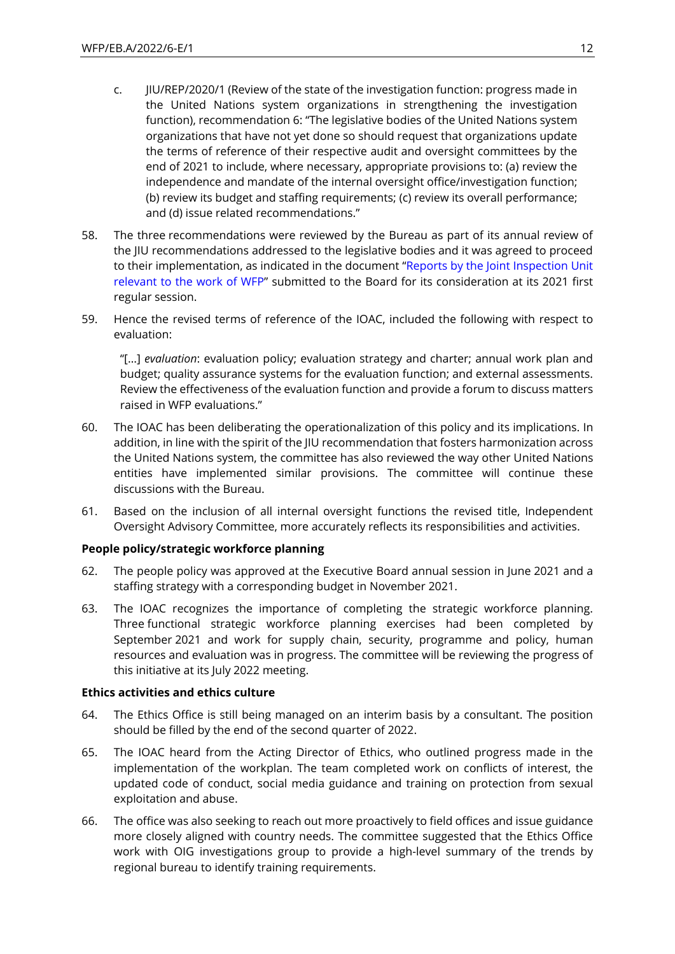- c. JIU/REP/2020/1 (Review of the state of the investigation function: progress made in the United Nations system organizations in strengthening the investigation function), recommendation 6: "The legislative bodies of the United Nations system organizations that have not yet done so should request that organizations update the terms of reference of their respective audit and oversight committees by the end of 2021 to include, where necessary, appropriate provisions to: (a) review the independence and mandate of the internal oversight office/investigation function; (b) review its budget and staffing requirements; (c) review its overall performance; and (d) issue related recommendations."
- 58. The three recommendations were reviewed by the Bureau as part of its annual review of the JIU recommendations addressed to the legislative bodies and it was agreed to proceed to their implementation, as indicated in the document "[Reports by the Joint Inspection Unit](https://executiveboard.wfp.org/document_download/WFP-0000121852)  [relevant to the work of WFP](https://executiveboard.wfp.org/document_download/WFP-0000121852)" submitted to the Board for its consideration at its 2021 first regular session.
- 59. Hence the revised terms of reference of the IOAC, included the following with respect to evaluation:

"[…] *evaluation*: evaluation policy; evaluation strategy and charter; annual work plan and budget; quality assurance systems for the evaluation function; and external assessments. Review the effectiveness of the evaluation function and provide a forum to discuss matters raised in WFP evaluations."

- 60. The IOAC has been deliberating the operationalization of this policy and its implications. In addition, in line with the spirit of the JIU recommendation that fosters harmonization across the United Nations system, the committee has also reviewed the way other United Nations entities have implemented similar provisions. The committee will continue these discussions with the Bureau.
- 61. Based on the inclusion of all internal oversight functions the revised title, Independent Oversight Advisory Committee, more accurately reflects its responsibilities and activities.

#### **People policy/strategic workforce planning**

- 62. The people policy was approved at the Executive Board annual session in June 2021 and a staffing strategy with a corresponding budget in November 2021.
- 63. The IOAC recognizes the importance of completing the strategic workforce planning. Three functional strategic workforce planning exercises had been completed by September 2021 and work for supply chain, security, programme and policy, human resources and evaluation was in progress. The committee will be reviewing the progress of this initiative at its July 2022 meeting.

#### **Ethics activities and ethics culture**

- 64. The Ethics Office is still being managed on an interim basis by a consultant. The position should be filled by the end of the second quarter of 2022.
- 65. The IOAC heard from the Acting Director of Ethics, who outlined progress made in the implementation of the workplan. The team completed work on conflicts of interest, the updated code of conduct, social media guidance and training on protection from sexual exploitation and abuse.
- 66. The office was also seeking to reach out more proactively to field offices and issue guidance more closely aligned with country needs. The committee suggested that the Ethics Office work with OIG investigations group to provide a high-level summary of the trends by regional bureau to identify training requirements.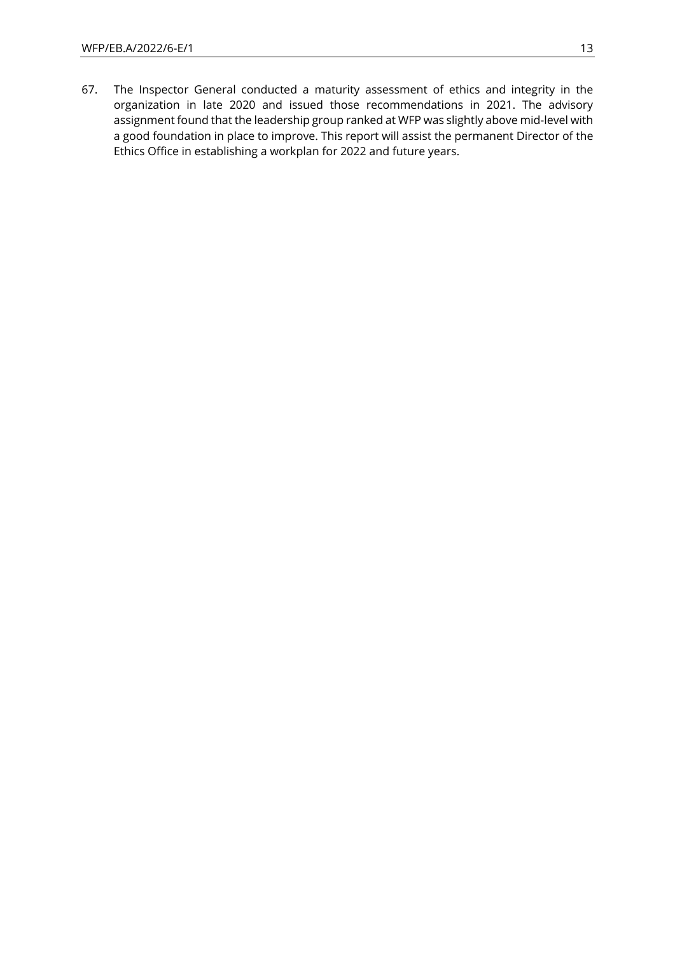67. The Inspector General conducted a maturity assessment of ethics and integrity in the organization in late 2020 and issued those recommendations in 2021. The advisory assignment found that the leadership group ranked at WFP was slightly above mid-level with a good foundation in place to improve. This report will assist the permanent Director of the Ethics Office in establishing a workplan for 2022 and future years.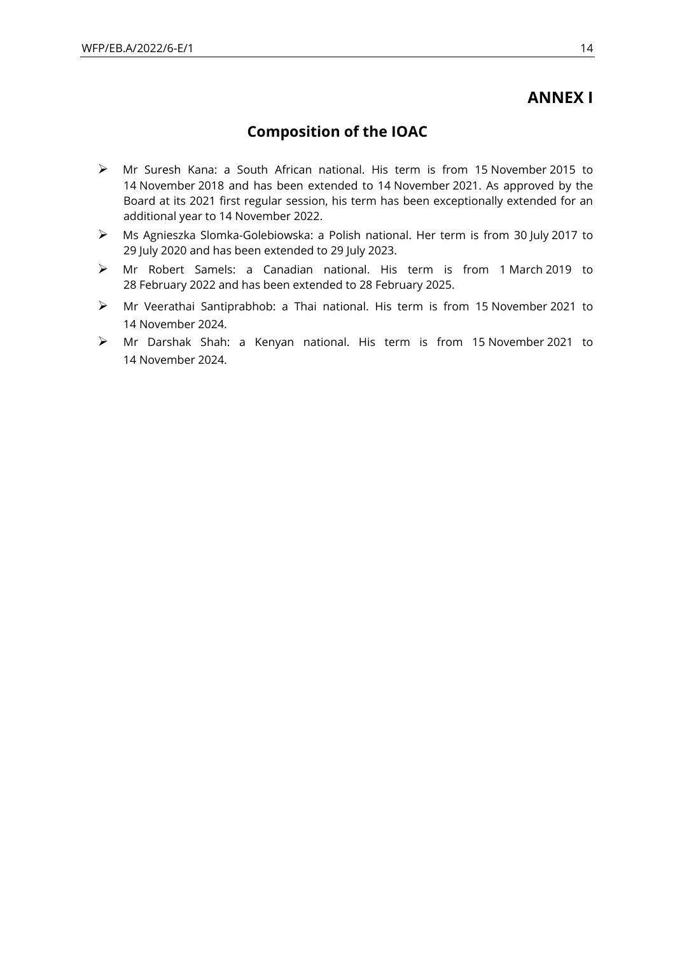## **ANNEX I**

## **Composition of the IOAC**

- ➢ Mr Suresh Kana: a South African national. His term is from 15 November 2015 to 14 November 2018 and has been extended to 14 November 2021. As approved by the Board at its 2021 first regular session, his term has been exceptionally extended for an additional year to 14 November 2022.
- ➢ Ms Agnieszka Slomka-Golebiowska: a Polish national. Her term is from 30 July 2017 to 29 July 2020 and has been extended to 29 July 2023.
- ➢ Mr Robert Samels: a Canadian national. His term is from 1 March 2019 to 28 February 2022 and has been extended to 28 February 2025.
- ➢ Mr Veerathai Santiprabhob: a Thai national. His term is from 15 November 2021 to 14 November 2024.
- ➢ Mr Darshak Shah: a Kenyan national. His term is from 15 November 2021 to 14 November 2024.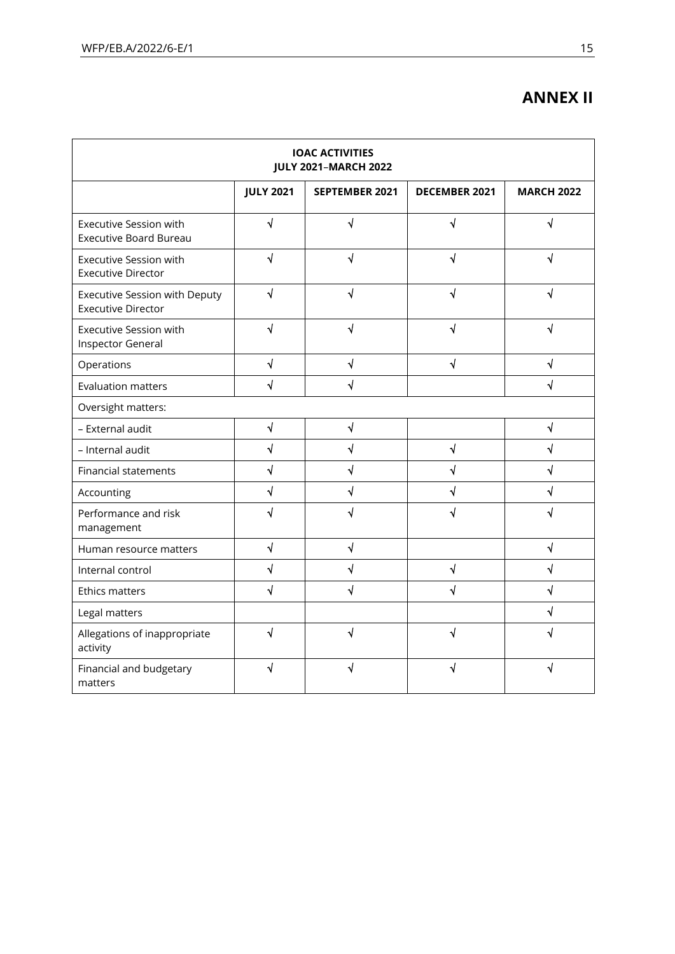# **ANNEX II**

| <b>IOAC ACTIVITIES</b><br><b>JULY 2021-MARCH 2022</b>          |                       |                       |                      |                       |
|----------------------------------------------------------------|-----------------------|-----------------------|----------------------|-----------------------|
|                                                                | <b>JULY 2021</b>      | <b>SEPTEMBER 2021</b> | <b>DECEMBER 2021</b> | <b>MARCH 2022</b>     |
| <b>Executive Session with</b><br><b>Executive Board Bureau</b> | $\sqrt{ }$            | √                     | √                    | √                     |
| <b>Executive Session with</b><br><b>Executive Director</b>     | √                     | J                     | √                    | √                     |
| Executive Session with Deputy<br><b>Executive Director</b>     | $\overline{\sqrt{2}}$ | J                     | √                    |                       |
| <b>Executive Session with</b><br><b>Inspector General</b>      | $\sqrt{}$             | √                     | V                    |                       |
| Operations                                                     | $\sqrt{}$             | √                     | √                    | √                     |
| <b>Evaluation matters</b>                                      | $\sqrt{}$             | √                     |                      | √                     |
| Oversight matters:                                             |                       |                       |                      |                       |
| - External audit                                               | $\sqrt{ }$            | $\sqrt{2}$            |                      | √                     |
| - Internal audit                                               | $\sqrt{ }$            | $\sqrt{}$             | $\sqrt{}$            | $\overline{\sqrt{} }$ |
| <b>Financial statements</b>                                    | $\overline{\sqrt{2}}$ | J                     | $\sqrt{}$            | $\sqrt{}$             |
| Accounting                                                     | √                     | √                     | √                    |                       |
| Performance and risk<br>management                             | √                     |                       | √                    |                       |
| Human resource matters                                         | $\sqrt{2}$            | √                     |                      | √                     |
| Internal control                                               | $\sqrt{ }$            | √                     | $\sqrt{}$            | √                     |
| <b>Ethics matters</b>                                          | $\sqrt{ }$            | √                     | √                    | $\sqrt{}$             |
| Legal matters                                                  |                       |                       |                      | $\sqrt{}$             |
| Allegations of inappropriate<br>activity                       | √                     | √                     | √                    |                       |
| Financial and budgetary<br>matters                             | ٧                     |                       |                      |                       |